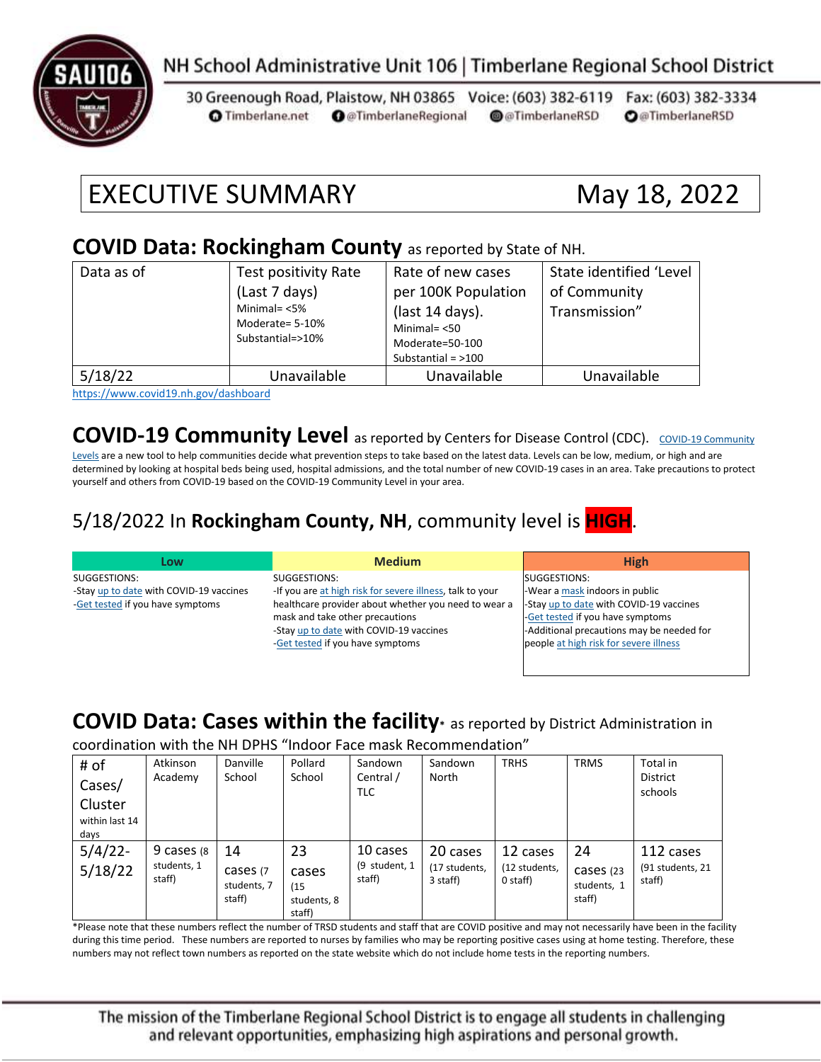

# NH School Administrative Unit 106 | Timberlane Regional School District

30 Greenough Road, Plaistow, NH 03865 Voice: (603) 382-6119 Fax: (603) 382-3334 **O** @TimberlaneRegional @@TimberlaneRSD **O**@TimberlaneRSD **O** Timberlane.net

# EXECUTIVE SUMMARY May 18, 2022

#### **COVID Data: Rockingham County** as reported by State of NH.

| Data as of | Test positivity Rate<br>(Last 7 days)<br>Minimal= $<$ 5%<br>Moderate= 5-10%<br>Substantial=>10% | Rate of new cases<br>per 100K Population<br>(last 14 days).<br>Minimal= $< 50$<br>Moderate=50-100<br>Substantial = $>100$ | State identified 'Level<br>of Community<br>Transmission" |
|------------|-------------------------------------------------------------------------------------------------|---------------------------------------------------------------------------------------------------------------------------|----------------------------------------------------------|
| 5/18/22    | Unavailable                                                                                     | Unavailable                                                                                                               | Unavailable                                              |

<https://www.covid19.nh.gov/dashboard>

### **[COVID-19 Community](https://www.cdc.gov/coronavirus/2019-ncov/science/community-levels.html) Level** as reported by Centers for Disease Control (CDC). COVID-19 Community

[Levels](https://www.cdc.gov/coronavirus/2019-ncov/science/community-levels.html) are a new tool to help communities decide what prevention steps to take based on the latest data. Levels can be low, medium, or high and are determined by looking at hospital beds being used, hospital admissions, and the total number of new COVID-19 cases in an area. Take precautions to protect yourself and others from COVID-19 based on the COVID-19 Community Level in your area.

#### 5/18/2022 In **Rockingham County, NH**, community level is **HIGH**.

| Low                                     | <b>Medium</b>                                             | <b>High</b>                               |
|-----------------------------------------|-----------------------------------------------------------|-------------------------------------------|
| SUGGESTIONS:                            | SUGGESTIONS:                                              | SUGGESTIONS:                              |
| -Stay up to date with COVID-19 vaccines | -If you are at high risk for severe illness, talk to your | -Wear a mask indoors in public            |
| -Get tested if you have symptoms        | healthcare provider about whether you need to wear a      | -Stay up to date with COVID-19 vaccines   |
|                                         | mask and take other precautions                           | -Get tested if you have symptoms          |
|                                         | -Stay up to date with COVID-19 vaccines                   | -Additional precautions may be needed for |
|                                         | -Get tested if you have symptoms                          | people at high risk for severe illness    |
|                                         |                                                           |                                           |

# **COVID Data: Cases within the facility\*** as reported by District Administration in

coordination with the NH DPHS "Indoor Face mask Recommendation"

| # of<br>Cases/<br>Cluster | Atkinson<br>Academy                  | Danville<br>School                      | Pollard<br>School                            | Sandown<br>Central /<br>TLC         | Sandown<br>North                      | <b>TRHS</b>                           | <b>TRMS</b>                              | Total in<br><b>District</b><br>schools  |
|---------------------------|--------------------------------------|-----------------------------------------|----------------------------------------------|-------------------------------------|---------------------------------------|---------------------------------------|------------------------------------------|-----------------------------------------|
| within last 14<br>days    |                                      |                                         |                                              |                                     |                                       |                                       |                                          |                                         |
| $5/4/22$ -<br>5/18/22     | 9 cases (8)<br>students, 1<br>staff) | 14<br>cases (7<br>students, 7<br>staff) | 23<br>cases<br>(15)<br>students, 8<br>staff) | 10 cases<br>(9 student, 1<br>staff) | 20 cases<br>(17 students,<br>3 staff) | 12 cases<br>(12 students,<br>0 staff) | 24<br>Cases (23<br>students, 1<br>staff) | 112 cases<br>(91 students, 21<br>staff) |

\*Please note that these numbers reflect the number of TRSD students and staff that are COVID positive and may not necessarily have been in the facility during this time period. These numbers are reported to nurses by families who may be reporting positive cases using at home testing. Therefore, these numbers may not reflect town numbers as reported on the state website which do not include home tests in the reporting numbers.

The mission of the Timberlane Regional School District is to engage all students in challenging and relevant opportunities, emphasizing high aspirations and personal growth.